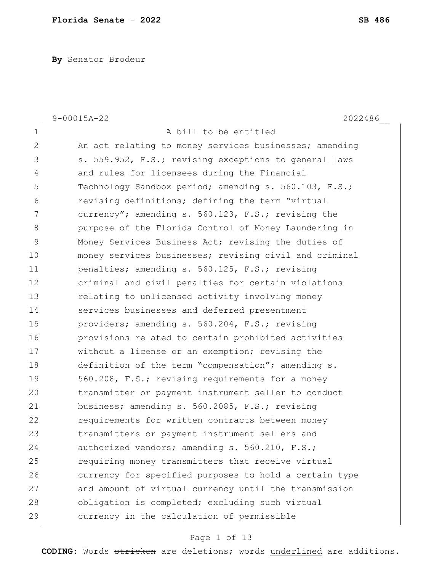**By** Senator Brodeur

|                | $9 - 00015A - 22$<br>2022486                           |
|----------------|--------------------------------------------------------|
| 1              | A bill to be entitled                                  |
| $\overline{2}$ | An act relating to money services businesses; amending |
| 3              | s. 559.952, F.S.; revising exceptions to general laws  |
| 4              | and rules for licensees during the Financial           |
| 5              | Technology Sandbox period; amending s. 560.103, F.S.;  |
| 6              | revising definitions; defining the term "virtual       |
| 7              | currency"; amending s. 560.123, F.S.; revising the     |
| 8              | purpose of the Florida Control of Money Laundering in  |
| 9              | Money Services Business Act; revising the duties of    |
| 10             | money services businesses; revising civil and criminal |
| 11             | penalties; amending s. 560.125, F.S.; revising         |
| 12             | criminal and civil penalties for certain violations    |
| 13             | relating to unlicensed activity involving money        |
| 14             | services businesses and deferred presentment           |
| 15             | providers; amending s. 560.204, F.S.; revising         |
| 16             | provisions related to certain prohibited activities    |
| 17             | without a license or an exemption; revising the        |
| 18             | definition of the term "compensation"; amending s.     |
| 19             | 560.208, F.S.; revising requirements for a money       |
| 20             | transmitter or payment instrument seller to conduct    |
| 21             | business; amending s. 560.2085, F.S.; revising         |
| 22             | requirements for written contracts between money       |
| 23             | transmitters or payment instrument sellers and         |
| 24             | authorized vendors; amending s. 560.210, F.S.;         |
| 25             | requiring money transmitters that receive virtual      |
| 26             | currency for specified purposes to hold a certain type |
| 27             | and amount of virtual currency until the transmission  |
| 28             | obligation is completed; excluding such virtual        |
| 29             | currency in the calculation of permissible             |

# Page 1 of 13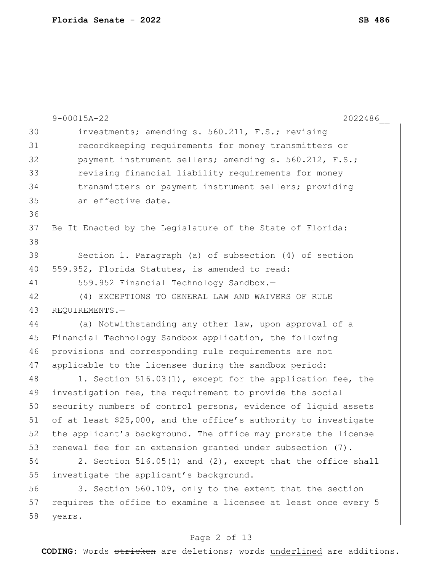|    | $9 - 00015A - 22$<br>2022486                                    |
|----|-----------------------------------------------------------------|
| 30 | investments; amending s. 560.211, F.S.; revising                |
| 31 | recordkeeping requirements for money transmitters or            |
| 32 | payment instrument sellers; amending s. 560.212, F.S.;          |
| 33 | revising financial liability requirements for money             |
| 34 | transmitters or payment instrument sellers; providing           |
| 35 | an effective date.                                              |
| 36 |                                                                 |
| 37 | Be It Enacted by the Legislature of the State of Florida:       |
| 38 |                                                                 |
| 39 | Section 1. Paragraph (a) of subsection (4) of section           |
| 40 | 559.952, Florida Statutes, is amended to read:                  |
| 41 | 559.952 Financial Technology Sandbox.-                          |
| 42 | (4) EXCEPTIONS TO GENERAL LAW AND WAIVERS OF RULE               |
| 43 | REQUIREMENTS.-                                                  |
| 44 | (a) Notwithstanding any other law, upon approval of a           |
| 45 | Financial Technology Sandbox application, the following         |
| 46 | provisions and corresponding rule requirements are not          |
| 47 | applicable to the licensee during the sandbox period:           |
| 48 | 1. Section 516.03(1), except for the application fee, the       |
| 49 | investigation fee, the requirement to provide the social        |
| 50 | security numbers of control persons, evidence of liquid assets  |
| 51 | of at least \$25,000, and the office's authority to investigate |
| 52 | the applicant's background. The office may prorate the license  |
| 53 | renewal fee for an extension granted under subsection (7).      |
| 54 | 2. Section 516.05(1) and (2), except that the office shall      |
| 55 | investigate the applicant's background.                         |
| 56 | 3. Section 560.109, only to the extent that the section         |
| 57 | requires the office to examine a licensee at least once every 5 |
| 58 | years.                                                          |
|    |                                                                 |

# Page 2 of 13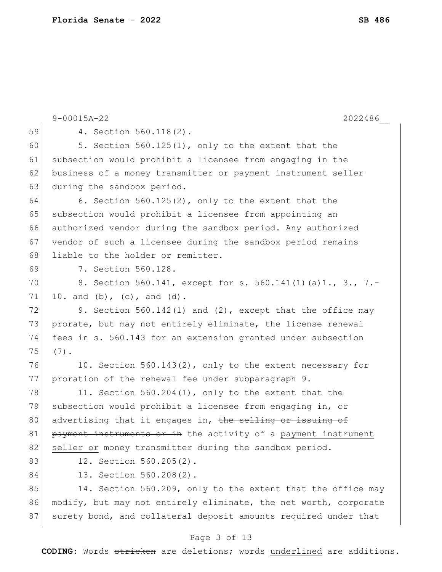|    | $9 - 00015A - 22$<br>2022486                                     |
|----|------------------------------------------------------------------|
| 59 | 4. Section 560.118(2).                                           |
| 60 | 5. Section 560.125(1), only to the extent that the               |
| 61 | subsection would prohibit a licensee from engaging in the        |
| 62 | business of a money transmitter or payment instrument seller     |
| 63 | during the sandbox period.                                       |
| 64 | 6. Section $560.125(2)$ , only to the extent that the            |
| 65 | subsection would prohibit a licensee from appointing an          |
| 66 | authorized vendor during the sandbox period. Any authorized      |
| 67 | vendor of such a licensee during the sandbox period remains      |
| 68 | liable to the holder or remitter.                                |
| 69 | 7. Section 560.128.                                              |
| 70 | 8. Section 560.141, except for s. 560.141(1)(a)1., 3., 7.-       |
| 71 | 10. and (b), (c), and (d).                                       |
| 72 | 9. Section 560.142(1) and (2), except that the office may        |
| 73 | prorate, but may not entirely eliminate, the license renewal     |
| 74 | fees in s. 560.143 for an extension granted under subsection     |
| 75 | $(7)$ .                                                          |
| 76 | 10. Section 560.143(2), only to the extent necessary for         |
| 77 | proration of the renewal fee under subparagraph 9.               |
| 78 | 11. Section 560.204(1), only to the extent that the              |
| 79 | subsection would prohibit a licensee from engaging in, or        |
| 80 | advertising that it engages in, the selling or issuing of        |
| 81 | payment instruments or in the activity of a payment instrument   |
| 82 | seller or money transmitter during the sandbox period.           |
| 83 | 12. Section 560.205(2).                                          |
| 84 | 13. Section 560.208(2).                                          |
| 85 | 14. Section 560.209, only to the extent that the office may      |
| 86 | modify, but may not entirely eliminate, the net worth, corporate |
| 87 | surety bond, and collateral deposit amounts required under that  |
|    |                                                                  |

# Page 3 of 13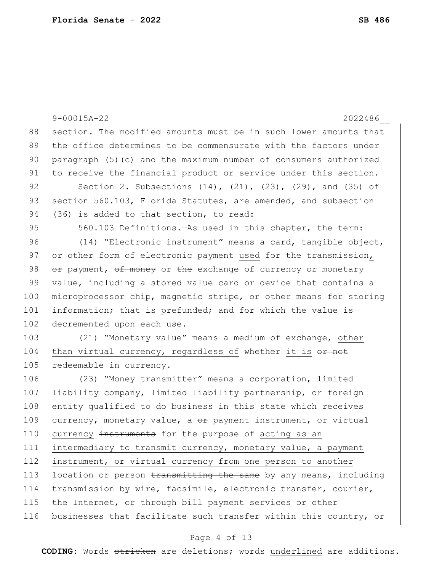| $9 - 00015A - 22$<br>2022486                                             |
|--------------------------------------------------------------------------|
| section. The modified amounts must be in such lower amounts that         |
| the office determines to be commensurate with the factors under          |
| paragraph (5) (c) and the maximum number of consumers authorized         |
| to receive the financial product or service under this section.          |
| Section 2. Subsections $(14)$ , $(21)$ , $(23)$ , $(29)$ , and $(35)$ of |
| section 560.103, Florida Statutes, are amended, and subsection           |
| (36) is added to that section, to read:                                  |
| 560.103 Definitions. - As used in this chapter, the term:                |
| (14) "Electronic instrument" means a card, tangible object,              |
| or other form of electronic payment used for the transmission,           |
| or payment, of money or the exchange of currency or monetary             |
| value, including a stored value card or device that contains a           |
| microprocessor chip, magnetic stripe, or other means for storing         |
| information; that is prefunded; and for which the value is               |
| decremented upon each use.                                               |
| (21) "Monetary value" means a medium of exchange, other                  |
| than virtual currency, regardless of whether it is or not                |
| redeemable in currency.                                                  |
| (23) "Money transmitter" means a corporation, limited                    |
| liability company, limited liability partnership, or foreign             |
| entity qualified to do business in this state which receives             |
| currency, monetary value, a or payment instrument, or virtual            |
| currency instruments for the purpose of acting as an                     |
| intermediary to transmit currency, monetary value, a payment             |
| instrument, or virtual currency from one person to another               |
| location or person transmitting the same by any means, including         |
| transmission by wire, facsimile, electronic transfer, courier,           |
| the Internet, or through bill payment services or other                  |
| businesses that facilitate such transfer within this country, or         |
| Page 4 of 13                                                             |
|                                                                          |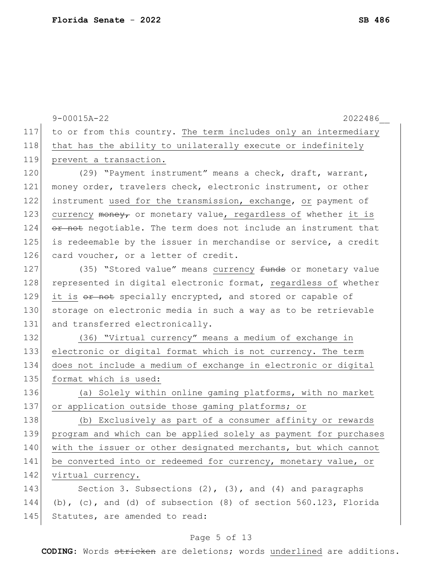|     | $9 - 00015A - 22$<br>2022486                                      |
|-----|-------------------------------------------------------------------|
| 117 | to or from this country. The term includes only an intermediary   |
| 118 | that has the ability to unilaterally execute or indefinitely      |
| 119 | prevent a transaction.                                            |
| 120 | (29) "Payment instrument" means a check, draft, warrant,          |
| 121 | money order, travelers check, electronic instrument, or other     |
| 122 | instrument used for the transmission, exchange, or payment of     |
| 123 | currency money, or monetary value, regardless of whether it is    |
| 124 | or not negotiable. The term does not include an instrument that   |
| 125 | is redeemable by the issuer in merchandise or service, a credit   |
| 126 | card voucher, or a letter of credit.                              |
| 127 | (35) "Stored value" means currency funds or monetary value        |
| 128 | represented in digital electronic format, regardless of whether   |
| 129 | it is or not specially encrypted, and stored or capable of        |
| 130 | storage on electronic media in such a way as to be retrievable    |
| 131 | and transferred electronically.                                   |
| 132 | (36) "Virtual currency" means a medium of exchange in             |
| 133 | electronic or digital format which is not currency. The term      |
| 134 | does not include a medium of exchange in electronic or digital    |
| 135 | format which is used:                                             |
| 136 | (a) Solely within online gaming platforms, with no market         |
| 137 | or application outside those gaming platforms; or                 |
| 138 | (b) Exclusively as part of a consumer affinity or rewards         |
| 139 | program and which can be applied solely as payment for purchases  |
| 140 | with the issuer or other designated merchants, but which cannot   |
| 141 | be converted into or redeemed for currency, monetary value, or    |
| 142 | virtual currency.                                                 |
| 143 | Section 3. Subsections $(2)$ , $(3)$ , and $(4)$ and paragraphs   |
| 144 | (b), (c), and (d) of subsection $(8)$ of section 560.123, Florida |
| 145 | Statutes, are amended to read:                                    |
|     |                                                                   |

# Page 5 of 13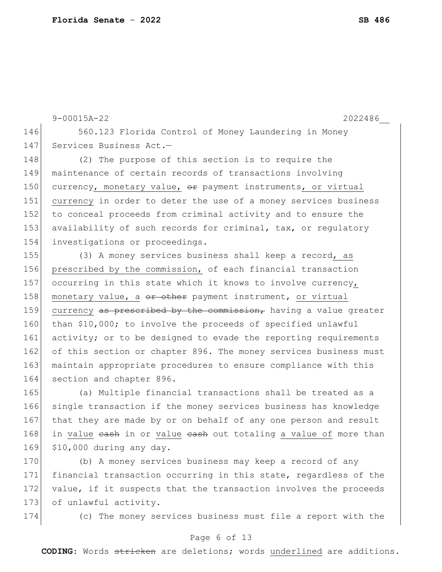9-00015A-22 2022486\_\_ 146 560.123 Florida Control of Money Laundering in Money 147 Services Business Act.-148 (2) The purpose of this section is to require the 149 maintenance of certain records of transactions involving 150 currency, monetary value,  $\theta$  payment instruments, or virtual 151 currency in order to deter the use of a money services business 152 to conceal proceeds from criminal activity and to ensure the

153 availability of such records for criminal, tax, or regulatory 154 investigations or proceedings. 155 (3) A money services business shall keep a record, as

156 prescribed by the commission, of each financial transaction 157 occurring in this state which it knows to involve currency, 158 | monetary value, a or other payment instrument, or virtual 159 currency as prescribed by the commission, having a value greater 160 than \$10,000; to involve the proceeds of specified unlawful 161 activity; or to be designed to evade the reporting requirements 162 of this section or chapter 896. The money services business must 163 maintain appropriate procedures to ensure compliance with this 164 section and chapter 896.

165 (a) Multiple financial transactions shall be treated as a 166 single transaction if the money services business has knowledge 167 that they are made by or on behalf of any one person and result 168 in value eash in or value eash out totaling a value of more than 169 \$10,000 during any day.

170 (b) A money services business may keep a record of any 171 financial transaction occurring in this state, regardless of the 172 value, if it suspects that the transaction involves the proceeds 173 of unlawful activity.

174 (c) The money services business must file a report with the

### Page 6 of 13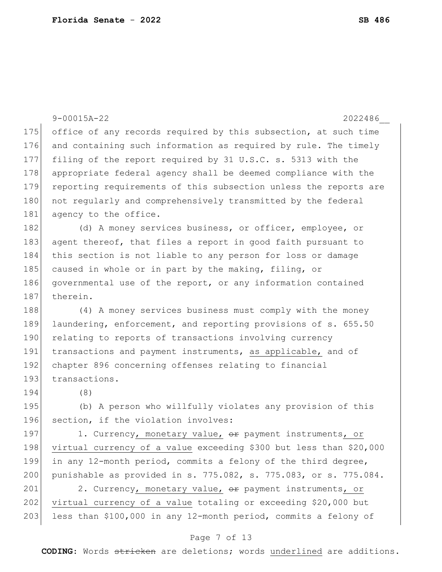|     | $9 - 00015A - 22$<br>2022486                                       |
|-----|--------------------------------------------------------------------|
| 175 | office of any records required by this subsection, at such time    |
| 176 | and containing such information as required by rule. The timely    |
| 177 | filing of the report required by 31 U.S.C. s. 5313 with the        |
| 178 | appropriate federal agency shall be deemed compliance with the     |
| 179 | reporting requirements of this subsection unless the reports are   |
| 180 | not regularly and comprehensively transmitted by the federal       |
| 181 | agency to the office.                                              |
| 182 | (d) A money services business, or officer, employee, or            |
| 183 | agent thereof, that files a report in good faith pursuant to       |
| 184 | this section is not liable to any person for loss or damage        |
| 185 | caused in whole or in part by the making, filing, or               |
| 186 | governmental use of the report, or any information contained       |
| 187 | therein.                                                           |
| 188 | (4) A money services business must comply with the money           |
| 189 | laundering, enforcement, and reporting provisions of s. 655.50     |
| 190 | relating to reports of transactions involving currency             |
| 191 | transactions and payment instruments, as applicable, and of        |
| 192 | chapter 896 concerning offenses relating to financial              |
| 193 | transactions.                                                      |
| 194 | (8)                                                                |
| 195 | (b) A person who willfully violates any provision of this          |
| 196 | section, if the violation involves:                                |
| 197 | 1. Currency, monetary value, or payment instruments, or            |
| 198 | virtual currency of a value exceeding \$300 but less than \$20,000 |
| 199 | in any 12-month period, commits a felony of the third degree,      |
| 200 | punishable as provided in s. 775.082, s. 775.083, or s. 775.084.   |
| 201 | 2. Currency, monetary value, or payment instruments, or            |
| 202 | virtual currency of a value totaling or exceeding \$20,000 but     |

### Page 7 of 13

less than \$100,000 in any 12-month period, commits a felony of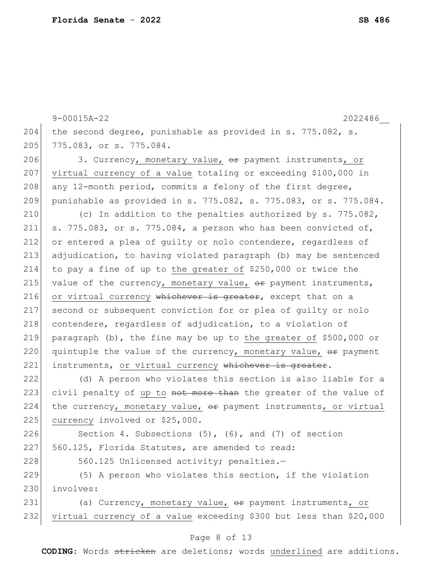9-00015A-22 2022486\_\_ 204 the second degree, punishable as provided in s. 775.082, s. 205 775.083, or s. 775.084. 206 3. Currency, monetary value, or payment instruments, or 207 virtual currency of a value totaling or exceeding \$100,000 in 208 any 12-month period, commits a felony of the first degree, 209 punishable as provided in s. 775.082, s. 775.083, or s. 775.084. 210  $\vert$  (c) In addition to the penalties authorized by s. 775.082, 211 s. 775.083, or s. 775.084, a person who has been convicted of, 212 or entered a plea of guilty or nolo contendere, regardless of 213 adjudication, to having violated paragraph (b) may be sentenced 214 to pay a fine of up to the greater of \$250,000 or twice the 215 value of the currency, monetary value,  $\Theta$ re payment instruments, 216 or virtual currency whichever is greater, except that on a 217 second or subsequent conviction for or plea of guilty or nolo 218 contendere, regardless of adjudication, to a violation of 219 paragraph (b), the fine may be up to the greater of \$500,000 or 220 quintuple the value of the currency, monetary value,  $\Theta$  payment 221 instruments, or virtual currency whichever is greater. 222 (d) A person who violates this section is also liable for a 223 civil penalty of up to not more than the greater of the value of 224 the currency, monetary value,  $\theta$ re payment instruments, or virtual 225 currency involved or \$25,000. 226 Section 4. Subsections (5), (6), and (7) of section 227 560.125, Florida Statutes, are amended to read: 228 560.125 Unlicensed activity; penalties.-229 (5) A person who violates this section, if the violation 230 involves: 231 (a) Currency, monetary value, or payment instruments, or 232 virtual currency of a value exceeding \$300 but less than \$20,000

#### Page 8 of 13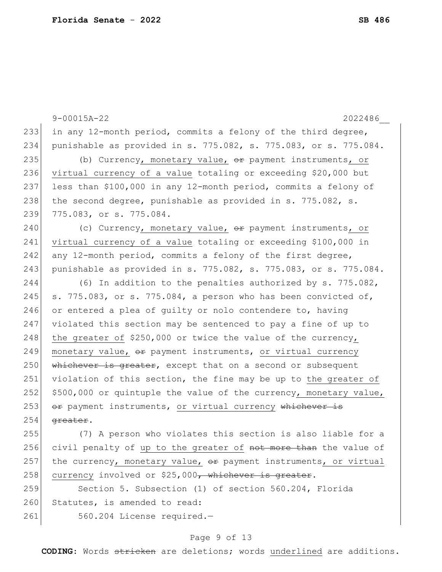|     | $9 - 00015A - 22$<br>2022486                                      |
|-----|-------------------------------------------------------------------|
| 233 | in any 12-month period, commits a felony of the third degree,     |
| 234 | punishable as provided in s. 775.082, s. 775.083, or s. 775.084.  |
| 235 | (b) Currency, monetary value, or payment instruments, or          |
| 236 | virtual currency of a value totaling or exceeding \$20,000 but    |
| 237 | less than \$100,000 in any 12-month period, commits a felony of   |
| 238 | the second degree, punishable as provided in s. 775.082, s.       |
| 239 | 775.083, or s. 775.084.                                           |
| 240 | (c) Currency, monetary value, or payment instruments, or          |
| 241 | virtual currency of a value totaling or exceeding \$100,000 in    |
| 242 | any 12-month period, commits a felony of the first degree,        |
| 243 | punishable as provided in s. 775.082, s. 775.083, or s. 775.084.  |
| 244 | (6) In addition to the penalties authorized by $s. 775.082$ ,     |
| 245 | s. 775.083, or s. 775.084, a person who has been convicted of,    |
| 246 | or entered a plea of quilty or nolo contendere to, having         |
| 247 | violated this section may be sentenced to pay a fine of up to     |
| 248 | the greater of \$250,000 or twice the value of the currency,      |
| 249 | monetary value, or payment instruments, or virtual currency       |
| 250 | whichever is greater, except that on a second or subsequent       |
| 251 | violation of this section, the fine may be up to the greater of   |
| 252 | \$500,000 or quintuple the value of the currency, monetary value, |
| 253 | or payment instruments, or virtual currency whichever is          |
| 254 | greater.                                                          |
| 255 | (7) A person who violates this section is also liable for a       |
| 256 | civil penalty of up to the greater of not more than the value of  |
| 257 | the currency, monetary value, or payment instruments, or virtual  |
| 258 | currency involved or \$25,000 <del>, whichever is greater</del> . |
| 259 | Section 5. Subsection (1) of section 560.204, Florida             |
| 260 | Statutes, is amended to read:                                     |
| 261 | 560.204 License required.-                                        |

# Page 9 of 13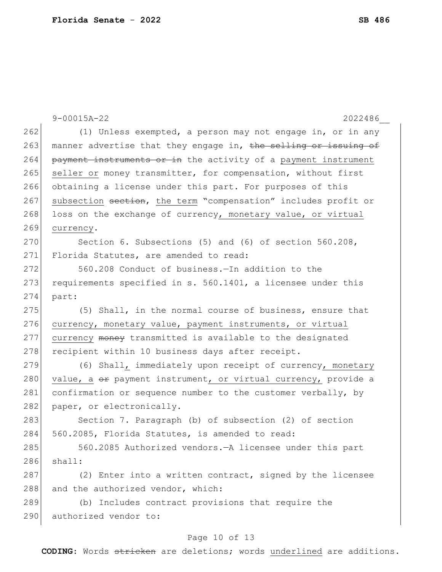|     | $9 - 00015A - 22$<br>2022486                                    |
|-----|-----------------------------------------------------------------|
| 262 | (1) Unless exempted, a person may not engage in, or in any      |
| 263 | manner advertise that they engage in, the selling or issuing of |
| 264 | payment instruments or in the activity of a payment instrument  |
| 265 | seller or money transmitter, for compensation, without first    |
| 266 | obtaining a license under this part. For purposes of this       |
| 267 | subsection section, the term "compensation" includes profit or  |
| 268 | loss on the exchange of currency, monetary value, or virtual    |
| 269 | currency.                                                       |
| 270 | Section 6. Subsections (5) and (6) of section $560.208$ ,       |
| 271 | Florida Statutes, are amended to read:                          |
| 272 | 560.208 Conduct of business. - In addition to the               |
| 273 | requirements specified in s. 560.1401, a licensee under this    |
| 274 | part:                                                           |
| 275 | (5) Shall, in the normal course of business, ensure that        |
| 276 | currency, monetary value, payment instruments, or virtual       |
| 277 | currency money transmitted is available to the designated       |
| 278 | recipient within 10 business days after receipt.                |
| 279 | (6) Shall, immediately upon receipt of currency, monetary       |
| 280 | value, a or payment instrument, or virtual currency, provide a  |
| 281 | confirmation or sequence number to the customer verbally, by    |
| 282 | paper, or electronically.                                       |
| 283 | Section 7. Paragraph (b) of subsection (2) of section           |
| 284 | 560.2085, Florida Statutes, is amended to read:                 |
| 285 | 560.2085 Authorized vendors. - A licensee under this part       |
| 286 | shall:                                                          |
| 287 | (2) Enter into a written contract, signed by the licensee       |
| 288 | and the authorized vendor, which:                               |
| 289 | (b) Includes contract provisions that require the               |
| 290 | authorized vendor to:                                           |
|     | Page 10 of 13                                                   |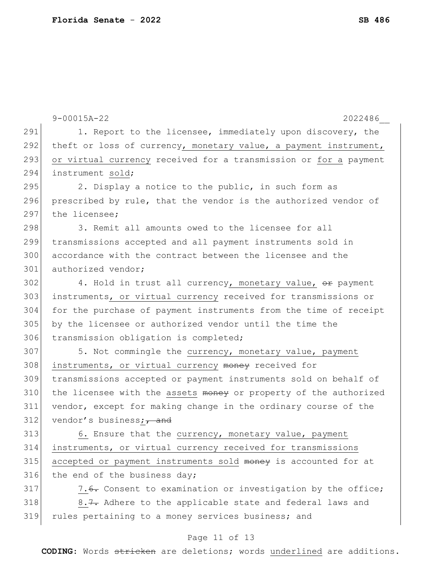|     | $9 - 00015A - 22$<br>2022486                                     |
|-----|------------------------------------------------------------------|
| 291 | 1. Report to the licensee, immediately upon discovery, the       |
| 292 | theft or loss of currency, monetary value, a payment instrument, |
| 293 | or virtual currency received for a transmission or for a payment |
| 294 | instrument sold;                                                 |
| 295 | 2. Display a notice to the public, in such form as               |
| 296 | prescribed by rule, that the vendor is the authorized vendor of  |
| 297 | the licensee;                                                    |
| 298 | 3. Remit all amounts owed to the licensee for all                |
| 299 | transmissions accepted and all payment instruments sold in       |
| 300 | accordance with the contract between the licensee and the        |
| 301 | authorized vendor;                                               |
| 302 | 4. Hold in trust all currency, monetary value, or payment        |
| 303 | instruments, or virtual currency received for transmissions or   |
| 304 | for the purchase of payment instruments from the time of receipt |
| 305 | by the licensee or authorized vendor until the time the          |
| 306 | transmission obligation is completed;                            |
| 307 | 5. Not commingle the currency, monetary value, payment           |
| 308 | instruments, or virtual currency money received for              |
| 309 | transmissions accepted or payment instruments sold on behalf of  |
| 310 | the licensee with the assets money or property of the authorized |
| 311 | vendor, except for making change in the ordinary course of the   |
| 312 | vendor's business; $\frac{1}{1}$ and                             |
| 313 | 6. Ensure that the currency, monetary value, payment             |
| 314 | instruments, or virtual currency received for transmissions      |
| 315 | accepted or payment instruments sold money is accounted for at   |
| 316 | the end of the business day;                                     |
| 317 | 7.6. Consent to examination or investigation by the office;      |
| 318 | 8.7. Adhere to the applicable state and federal laws and         |
| 319 | rules pertaining to a money services business; and               |
|     | Page 11 of 13                                                    |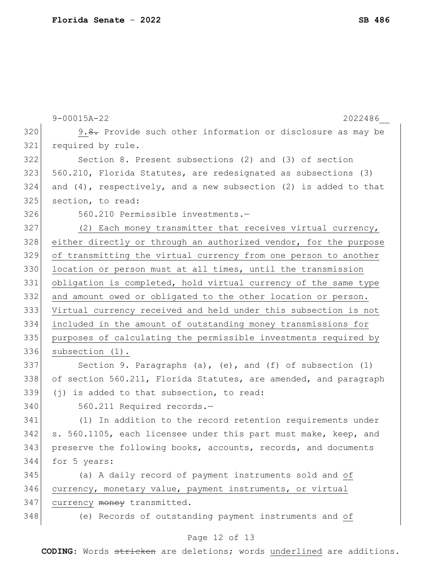|     | $9 - 00015A - 22$<br>2022486                                            |
|-----|-------------------------------------------------------------------------|
| 320 | 9. <del>8.</del> Provide such other information or disclosure as may be |
| 321 | required by rule.                                                       |
| 322 | Section 8. Present subsections (2) and (3) of section                   |
| 323 | 560.210, Florida Statutes, are redesignated as subsections (3)          |
| 324 | and $(4)$ , respectively, and a new subsection $(2)$ is added to that   |
| 325 | section, to read:                                                       |
| 326 | 560.210 Permissible investments.-                                       |
| 327 | (2) Each money transmitter that receives virtual currency,              |
| 328 | either directly or through an authorized vendor, for the purpose        |
| 329 | of transmitting the virtual currency from one person to another         |
| 330 | location or person must at all times, until the transmission            |
| 331 | obligation is completed, hold virtual currency of the same type         |
| 332 | and amount owed or obligated to the other location or person.           |
| 333 | Virtual currency received and held under this subsection is not         |
| 334 | included in the amount of outstanding money transmissions for           |
| 335 | purposes of calculating the permissible investments required by         |
| 336 | subsection (1).                                                         |
| 337 | Section 9. Paragraphs $(a)$ , $(e)$ , and $(f)$ of subsection $(1)$     |
| 338 | of section 560.211, Florida Statutes, are amended, and paragraph        |
| 339 | (j) is added to that subsection, to read:                               |
| 340 | 560.211 Required records.-                                              |
| 341 | (1) In addition to the record retention requirements under              |
| 342 | s. 560.1105, each licensee under this part must make, keep, and         |
| 343 | preserve the following books, accounts, records, and documents          |
| 344 | for 5 years:                                                            |
| 345 | (a) A daily record of payment instruments sold and of                   |
| 346 | currency, monetary value, payment instruments, or virtual               |
| 347 | currency money transmitted.                                             |
| 348 | (e) Records of outstanding payment instruments and of                   |
|     | Page 12 of 13                                                           |